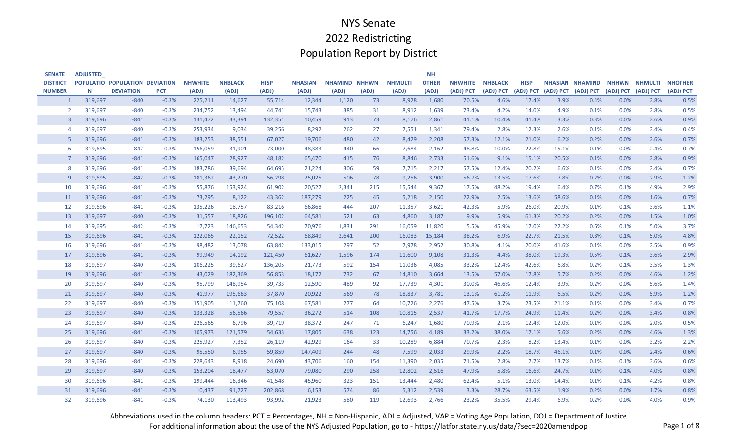| <b>SENATE</b>   | <b>ADJUSTED</b> |                                |            |                |                |             |                |                      |       |                | ΝH           |                |                |             |           |                               |           |           |                |
|-----------------|-----------------|--------------------------------|------------|----------------|----------------|-------------|----------------|----------------------|-------|----------------|--------------|----------------|----------------|-------------|-----------|-------------------------------|-----------|-----------|----------------|
| <b>DISTRICT</b> |                 | POPULATIO POPULATION DEVIATION |            | <b>NHWHITE</b> | <b>NHBLACK</b> | <b>HISP</b> | <b>NHASIAN</b> | <b>NHAMIND NHHWN</b> |       | <b>NHMULTI</b> | <b>OTHER</b> | <b>NHWHITE</b> | <b>NHBLACK</b> | <b>HISP</b> |           | NHASIAN NHAMIND NHHWN NHMULTI |           |           | <b>NHOTHER</b> |
| <b>NUMBER</b>   | N               | <b>DEVIATION</b>               | <b>PCT</b> | (ADJ)          | (ADJ)          | (ADJ)       | (ADJ)          | (ADJ)                | (ADJ) | (ADJ)          | (ADJ)        | (ADJ) PCT      | (ADJ) PCT      | (ADJ) PCT   | (ADJ) PCT | (ADJ) PCT                     | (ADJ) PCT | (ADJ) PCT | (ADJ) PCT      |
| $\mathbf{1}$    | 319,697         | $-840$                         | $-0.3%$    | 225,211        | 14,627         | 55,714      | 12,344         | 1,120                | 73    | 8,928          | 1,680        | 70.5%          | 4.6%           | 17.4%       | 3.9%      | 0.4%                          | 0.0%      | 2.8%      | 0.5%           |
| $\overline{2}$  | 319,697         | $-840$                         | $-0.3%$    | 234,752        | 13,494         | 44,741      | 15,743         | 385                  | 31    | 8,912          | 1,639        | 73.4%          | 4.2%           | 14.0%       | 4.9%      | 0.1%                          | 0.0%      | 2.8%      | 0.5%           |
| 3               | 319,696         | $-841$                         | $-0.3%$    | 131,472        | 33,391         | 132,351     | 10,459         | 913                  | 73    | 8,176          | 2,861        | 41.1%          | 10.4%          | 41.4%       | 3.3%      | 0.3%                          | 0.0%      | 2.6%      | 0.9%           |
| Δ               | 319,697         | $-840$                         | $-0.3%$    | 253,934        | 9,034          | 39,256      | 8,292          | 262                  | 27    | 7,551          | 1,341        | 79.4%          | 2.8%           | 12.3%       | 2.6%      | 0.1%                          | 0.0%      | 2.4%      | 0.4%           |
| 5               | 319,696         | $-841$                         | $-0.3%$    | 183,253        | 38,551         | 67,027      | 19,706         | 480                  | 42    | 8,429          | 2,208        | 57.3%          | 12.1%          | 21.0%       | 6.2%      | 0.2%                          | 0.0%      | 2.6%      | 0.7%           |
|                 | 319,695<br>6    | $-842$                         | $-0.3%$    | 156,059        | 31,901         | 73,000      | 48,383         | 440                  | 66    | 7,684          | 2,162        | 48.8%          | 10.0%          | 22.8%       | 15.1%     | 0.1%                          | 0.0%      | 2.4%      | 0.7%           |
| 7               | 319,696         | $-841$                         | $-0.3%$    | 165,047        | 28,927         | 48,182      | 65,470         | 415                  | 76    | 8,846          | 2,733        | 51.6%          | 9.1%           | 15.1%       | 20.5%     | 0.1%                          | 0.0%      | 2.8%      | 0.9%           |
| $\mathbf{8}$    | 319,696         | $-841$                         | $-0.3%$    | 183,786        | 39,694         | 64,695      | 21,224         | 306                  | 59    | 7,715          | 2,217        | 57.5%          | 12.4%          | 20.2%       | 6.6%      | 0.1%                          | 0.0%      | 2.4%      | 0.7%           |
| 9               | 319,695         | $-842$                         | $-0.3%$    | 181,362        | 43,270         | 56,298      | 25,025         | 506                  | 78    | 9,256          | 3,900        | 56.7%          | 13.5%          | 17.6%       | 7.8%      | 0.2%                          | 0.0%      | 2.9%      | 1.2%           |
| 10              | 319,696         | $-841$                         | $-0.3%$    | 55,876         | 153,924        | 61,902      | 20,527         | 2,341                | 215   | 15,544         | 9,367        | 17.5%          | 48.2%          | 19.4%       | 6.4%      | 0.7%                          | 0.1%      | 4.9%      | 2.9%           |
| 11              | 319,696         | $-841$                         | $-0.3%$    | 73,295         | 8,122          | 43,362      | 187,279        | 225                  | 45    | 5,218          | 2,150        | 22.9%          | 2.5%           | 13.6%       | 58.6%     | 0.1%                          | 0.0%      | 1.6%      | 0.7%           |
| 12              | 319,696         | $-841$                         | $-0.3%$    | 135,226        | 18,757         | 83,216      | 66,868         | 444                  | 207   | 11,357         | 3,621        | 42.3%          | 5.9%           | 26.0%       | 20.9%     | 0.1%                          | 0.1%      | 3.6%      | 1.1%           |
| 13              | 319,697         | $-840$                         | $-0.3%$    | 31,557         | 18,826         | 196,102     | 64,581         | 521                  | 63    | 4,860          | 3,187        | 9.9%           | 5.9%           | 61.3%       | 20.2%     | 0.2%                          | 0.0%      | 1.5%      | 1.0%           |
| 14              | 319,695         | $-842$                         | $-0.3%$    | 17,723         | 146,653        | 54,342      | 70,976         | 1,831                | 291   | 16,059         | 11,820       | 5.5%           | 45.9%          | 17.0%       | 22.2%     | 0.6%                          | 0.1%      | 5.0%      | 3.7%           |
| 15              | 319,696         | $-841$                         | $-0.3%$    | 122,065        | 22,152         | 72,522      | 68,849         | 2,641                | 200   | 16,083         | 15,184       | 38.2%          | 6.9%           | 22.7%       | 21.5%     | 0.8%                          | 0.1%      | 5.0%      | 4.8%           |
| 16              | 319,696         | $-841$                         | $-0.3%$    | 98,482         | 13,078         | 63,842      | 133,015        | 297                  | 52    | 7,978          | 2,952        | 30.8%          | 4.1%           | 20.0%       | 41.6%     | 0.1%                          | 0.0%      | 2.5%      | 0.9%           |
| 17              | 319,696         | $-841$                         | $-0.3%$    | 99,949         | 14,192         | 121,450     | 61,627         | 1,596                | 174   | 11,600         | 9,108        | 31.3%          | 4.4%           | 38.0%       | 19.3%     | 0.5%                          | 0.1%      | 3.6%      | 2.9%           |
| 18              | 319,697         | $-840$                         | $-0.3%$    | 106,225        | 39,627         | 136,205     | 21,773         | 592                  | 154   | 11,036         | 4,085        | 33.2%          | 12.4%          | 42.6%       | 6.8%      | 0.2%                          | 0.1%      | 3.5%      | 1.3%           |
| 19              | 319,696         | $-841$                         | $-0.3%$    | 43,029         | 182,369        | 56,853      | 18,172         | 732                  | 67    | 14,810         | 3,664        | 13.5%          | 57.0%          | 17.8%       | 5.7%      | 0.2%                          | 0.0%      | 4.6%      | 1.2%           |
| 20              | 319,697         | $-840$                         | $-0.3%$    | 95,799         | 148,954        | 39,733      | 12,590         | 489                  | 92    | 17,739         | 4,301        | 30.0%          | 46.6%          | 12.4%       | 3.9%      | 0.2%                          | 0.0%      | 5.6%      | 1.4%           |
| 21              | 319,697         | $-840$                         | $-0.3%$    | 41,977         | 195,663        | 37,870      | 20,922         | 569                  | 78    | 18,837         | 3,781        | 13.1%          | 61.2%          | 11.9%       | 6.5%      | 0.2%                          | 0.0%      | 5.9%      | 1.2%           |
| 22              | 319,697         | $-840$                         | $-0.3%$    | 151,905        | 11,760         | 75,108      | 67,581         | 277                  | 64    | 10,726         | 2,276        | 47.5%          | 3.7%           | 23.5%       | 21.1%     | 0.1%                          | 0.0%      | 3.4%      | 0.7%           |
| 23              | 319,697         | $-840$                         | $-0.3%$    | 133,328        | 56,566         | 79,557      | 36,272         | 514                  | 108   | 10,815         | 2,537        | 41.7%          | 17.7%          | 24.9%       | 11.4%     | 0.2%                          | 0.0%      | 3.4%      | 0.8%           |
| 24              | 319,697         | $-840$                         | $-0.3%$    | 226,565        | 6,796          | 39,719      | 38,372         | 247                  | 71    | 6,247          | 1,680        | 70.9%          | 2.1%           | 12.4%       | 12.0%     | 0.1%                          | 0.0%      | 2.0%      | 0.5%           |
| 25              | 319,696         | $-841$                         | $-0.3%$    | 105,973        | 121,579        | 54,633      | 17,805         | 638                  | 123   | 14,756         | 4,189        | 33.2%          | 38.0%          | 17.1%       | 5.6%      | 0.2%                          | 0.0%      | 4.6%      | 1.3%           |
| 26              | 319,697         | $-840$                         | $-0.3%$    | 225,927        | 7,352          | 26,119      | 42,929         | 164                  | 33    | 10,289         | 6,884        | 70.7%          | 2.3%           | 8.2%        | 13.4%     | 0.1%                          | 0.0%      | 3.2%      | 2.2%           |
| 27              | 319,697         | $-840$                         | $-0.3%$    | 95,550         | 6,955          | 59,859      | 147,409        | 244                  | 48    | 7,599          | 2,033        | 29.9%          | 2.2%           | 18.7%       | 46.1%     | 0.1%                          | 0.0%      | 2.4%      | 0.6%           |
| 28              | 319,696         | $-841$                         | $-0.3%$    | 228,643        | 8,918          | 24,690      | 43,706         | 160                  | 154   | 11,390         | 2,035        | 71.5%          | 2.8%           | 7.7%        | 13.7%     | 0.1%                          | 0.1%      | 3.6%      | 0.6%           |
| 29              | 319,697         | $-840$                         | $-0.3%$    | 153,204        | 18,477         | 53,070      | 79,080         | 290                  | 258   | 12,802         | 2,516        | 47.9%          | 5.8%           | 16.6%       | 24.7%     | 0.1%                          | 0.1%      | 4.0%      | 0.8%           |
| 30              | 319,696         | $-841$                         | $-0.3%$    | 199,444        | 16,346         | 41,548      | 45,960         | 323                  | 151   | 13,444         | 2,480        | 62.4%          | 5.1%           | 13.0%       | 14.4%     | 0.1%                          | 0.1%      | 4.2%      | 0.8%           |
| 31              | 319,696         | $-841$                         | $-0.3%$    | 10,437         | 91,727         | 202,868     | 6,153          | 574                  | 86    | 5,312          | 2,539        | 3.3%           | 28.7%          | 63.5%       | 1.9%      | 0.2%                          | 0.0%      | 1.7%      | 0.8%           |
| 32              | 319,696         | $-841$                         | $-0.3%$    | 74,130         | 113,493        | 93,992      | 21,923         | 580                  | 119   | 12,693         | 2,766        | 23.2%          | 35.5%          | 29.4%       | 6.9%      | 0.2%                          | 0.0%      | 4.0%      | 0.9%           |

Abbreviations used in the column headers: PCT = Percentages, NH = Non-Hispanic, ADJ = Adjusted, VAP = Voting Age Population, DOJ = Department of Justice

For additional information about the use of the NYS Adjusted Population, go to - https://latfor.state.ny.us/data/?sec=2020amendpop Page 1 of 8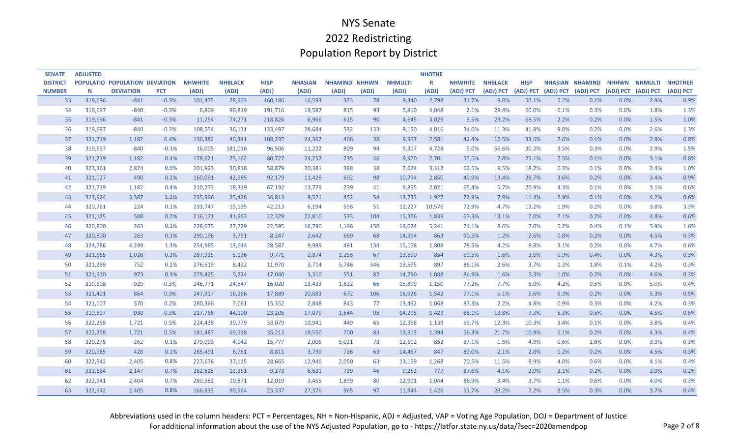| <b>SENATE</b>   | <b>ADJUSTED</b> |                                |            |                |                |             |                |                      |       |                | <b>NHOTHE</b> |                |                |             |           |                                       |           |           |           |
|-----------------|-----------------|--------------------------------|------------|----------------|----------------|-------------|----------------|----------------------|-------|----------------|---------------|----------------|----------------|-------------|-----------|---------------------------------------|-----------|-----------|-----------|
| <b>DISTRICT</b> |                 | POPULATIO POPULATION DEVIATION |            | <b>NHWHITE</b> | <b>NHBLACK</b> | <b>HISP</b> | <b>NHASIAN</b> | <b>NHAMIND NHHWN</b> |       | <b>NHMULTI</b> | R             | <b>NHWHITE</b> | <b>NHBLACK</b> | <b>HISP</b> |           | NHASIAN NHAMIND NHHWN NHMULTI NHOTHER |           |           |           |
| <b>NUMBER</b>   | N               | <b>DEVIATION</b>               | <b>PCT</b> | (ADJ)          | (ADJ)          | (ADJ)       | (ADJ)          | (ADJ)                | (ADJ) | (ADJ)          | (ADJ)         | (ADJ) PCT      | (ADJ) PCT      | (ADJ) PCT   | (ADJ) PCT | (ADJ) PCT                             | (ADJ) PCT | (ADJ) PCT | (ADJ) PCT |
| 33              | 319,696         | $-841$                         | $-0.3%$    | 101,475        | 28,903         | 160,186     | 16,593         | 323                  | 78    | 9,340          | 2,798         | 31.7%          | 9.0%           | 50.1%       | 5.2%      | 0.1%                                  | 0.0%      | 2.9%      | 0.9%      |
| 34              | 319,697         | $-840$                         | $-0.3%$    | 6,809          | 90,819         | 191,716     | 19,587         | 815                  | 93    | 5,810          | 4,048         | 2.1%           | 28.4%          | 60.0%       | 6.1%      | 0.3%                                  | 0.0%      | 1.8%      | 1.3%      |
| 35              | 319,696         | $-841$                         | $-0.3%$    | 11,254         | 74,271         | 218,826     | 6,966          | 615                  | 90    | 4,645          | 3,029         | 3.5%           | 23.2%          | 68.5%       | 2.2%      | 0.2%                                  | 0.0%      | 1.5%      | 1.0%      |
| 36              | 319,697         | $-840$                         | $-0.3%$    | 108,554        | 36,131         | 133,497     | 28,684         | 532                  | 133   | 8,150          | 4,016         | 34.0%          | 11.3%          | 41.8%       | 9.0%      | 0.2%                                  | 0.0%      | 2.6%      | 1.3%      |
| 37              | 321,719         | 1,182                          | 0.4%       | 136,382        | 40,341         | 108,237     | 24,367         | 406                  | 38    | 9,367          | 2,581         | 42.4%          | 12.5%          | 33.6%       | 7.6%      | 0.1%                                  | 0.0%      | 2.9%      | 0.8%      |
| 38              | 319,697         | $-840$                         | $-0.3%$    | 16,005         | 181,016        | 96,506      | 11,222         | 809                  | 94    | 9,317          | 4,728         | 5.0%           | 56.6%          | 30.2%       | 3.5%      | 0.3%                                  | 0.0%      | 2.9%      | 1.5%      |
| 39              | 321,719         | 1,182                          | 0.4%       | 178,621        | 25,162         | 80,727      | 24,257         | 235                  | 46    | 9,970          | 2,701         | 55.5%          | 7.8%           | 25.1%       | 7.5%      | 0.1%                                  | 0.0%      | 3.1%      | 0.8%      |
| 40              | 323,361         | 2,824                          | 0.9%       | 201,923        | 30,816         | 58,879      | 20,381         | 388                  | 38    | 7,624          | 3,312         | 62.5%          | 9.5%           | 18.2%       | 6.3%      | 0.1%                                  | 0.0%      | 2.4%      | 1.0%      |
| 41              | 321,027         | 490                            | 0.2%       | 160,091        | 42,985         | 92,179      | 11,428         | 602                  | 98    | 10,794         | 2,850         | 49.9%          | 13.4%          | 28.7%       | 3.6%      | 0.2%                                  | 0.0%      | 3.4%      | 0.9%      |
| 42              | 321,719         | 1,182                          | 0.4%       | 210,273        | 18,319         | 67,192      | 13,779         | 239                  | 41    | 9,855          | 2,021         | 65.4%          | 5.7%           | 20.9%       | 4.3%      | 0.1%                                  | 0.0%      | 3.1%      | 0.6%      |
| 43              | 323,924         | 3,387                          | 1.1%       | 235,996        | 25,428         | 36,813      | 9,521          | 452                  | 54    | 13,733         | 1,927         | 72.9%          | 7.9%           | 11.4%       | 2.9%      | 0.1%                                  | 0.0%      | 4.2%      | 0.6%      |
| 44              | 320,761         | 224                            | 0.1%       | 233,747        | 15,195         | 42,213      | 6,194          | 558                  | 51    | 12,227         | 10,576        | 72.9%          | 4.7%           | 13.2%       | 1.9%      | 0.2%                                  | 0.0%      | 3.8%      | 3.3%      |
| 45              | 321,125         | 588                            | 0.2%       | 216,171        | 41,963         | 22,329      | 22,810         | 533                  | 104   | 15,376         | 1,839         | 67.3%          | 13.1%          | 7.0%        | 7.1%      | 0.2%                                  | 0.0%      | 4.8%      | 0.6%      |
| 46              | 320,800         | 263                            | 0.1%       | 228,075        | 27,729         | 22,595      | 16,790         | 1,196                | 150   | 19,024         | 5,241         | 71.1%          | 8.6%           | 7.0%        | 5.2%      | 0.4%                                  | 0.1%      | 5.9%      | 1.6%      |
| 47              | 320,800         | 263                            | 0.1%       | 290,196        | 3,751          | 8,247       | 2,642          | 669                  | 68    | 14,364         | 863           | 90.5%          | 1.2%           | 2.6%        | 0.8%      | 0.2%                                  | 0.0%      | 4.5%      | 0.3%      |
| 48              | 324,786         | 4,249                          | 1.3%       | 254,985        | 13,644         | 28,587      | 9,989          | 481                  | 134   | 15,158         | 1,808         | 78.5%          | 4.2%           | 8.8%        | 3.1%      | 0.2%                                  | 0.0%      | 4.7%      | 0.6%      |
| 49              | 321,565         | 1,028                          | 0.3%       | 287,915        | 5,136          | 9,771       | 2,874          | 1,258                | 67    | 13,690         | 854           | 89.5%          | 1.6%           | 3.0%        | 0.9%      | 0.4%                                  | 0.0%      | 4.3%      | 0.3%      |
| -50             | 321,289         | 752                            | 0.2%       | 276,619        | 8,422          | 11,970      | 3,714          | 5,746                | 346   | 13,575         | 897           | 86.1%          | 2.6%           | 3.7%        | 1.2%      | 1.8%                                  | 0.1%      | 4.2%      | 0.3%      |
| 51              | 321,510         | 973                            | 0.3%       | 279,425        | 5,224          | 17,040      | 3,310          | 551                  | 82    | 14,790         | 1,088         | 86.9%          | 1.6%           | 5.3%        | 1.0%      | 0.2%                                  | 0.0%      | 4.6%      | 0.3%      |
| 52              | 319,608         | $-929$                         | $-0.3%$    | 246,771        | 24,647         | 16,020      | 13,433         | 1,622                | 66    | 15,899         | 1,150         | 77.2%          | 7.7%           | 5.0%        | 4.2%      | 0.5%                                  | 0.0%      | 5.0%      | 0.4%      |
| 53              | 321,401         | 864                            | 0.3%       | 247,917        | 16,266         | 17,889      | 20,083         | 672                  | 106   | 16,926         | 1,542         | 77.1%          | 5.1%           | 5.6%        | 6.3%      | 0.2%                                  | 0.0%      | 5.3%      | 0.5%      |
| 54              | 321,107         | 570                            | 0.2%       | 280,366        | 7,061          | 15,352      | 2,848          | 843                  | 77    | 13,492         | 1,068         | 87.3%          | 2.2%           | 4.8%        | 0.9%      | 0.3%                                  | 0.0%      | 4.2%      | 0.3%      |
| 55              | 319,607         | $-930$                         | $-0.3%$    | 217,766        | 44,100         | 23,205      | 17,079         | 1,644                | 95    | 14,295         | 1,423         | 68.1%          | 13.8%          | 7.3%        | 5.3%      | 0.5%                                  | 0.0%      | 4.5%      | 0.5%      |
| 56              | 322,258         | 1,721                          | 0.5%       | 224,438        | 39,779         | 33,079      | 10,941         | 449                  | 65    | 12,368         | 1,139         | 69.7%          | 12.3%          | 10.3%       | 3.4%      | 0.1%                                  | 0.0%      | 3.8%      | 0.4%      |
| 57              | 322,258         | 1,721                          | 0.5%       | 181,487        | 69,918         | 35,213      | 19,550         | 700                  | 83    | 13,913         | 1,394         | 56.3%          | 21.7%          | 10.9%       | 6.1%      | 0.2%                                  | 0.0%      | 4.3%      | 0.4%      |
| 58              | 320,275         | $-262$                         | $-0.1%$    | 279,003        | 4,942          | 15,777      | 2,005          | 5,021                | 73    | 12,602         | 852           | 87.1%          | 1.5%           | 4.9%        | 0.6%      | 1.6%                                  | 0.0%      | 3.9%      | 0.3%      |
| 59              | 320,965         | 428                            | 0.1%       | 285,491        | 6,761          | 8,811       | 3,799          | 726                  | 63    | 14,467         | 847           | 89.0%          | 2.1%           | 2.8%        | 1.2%      | 0.2%                                  | 0.0%      | 4.5%      | 0.3%      |
| 60              | 322,942         | 2,405                          | 0.8%       | 227,676        | 37,115         | 28,665      | 12,946         | 2,050                | 63    | 13,159         | 1,268         | 70.5%          | 11.5%          | 8.9%        | 4.0%      | 0.6%                                  | 0.0%      | 4.1%      | 0.4%      |
| 61              | 322,684         | 2,147                          | 0.7%       | 282,615        | 13,351         | 9,273       | 6,631          | 739                  | 46    | 9,252          | 777           | 87.6%          | 4.1%           | 2.9%        | 2.1%      | 0.2%                                  | 0.0%      | 2.9%      | 0.2%      |
| -62             | 322,941         | 2,404                          | 0.7%       | 280,582        | 10,871         | 12,019      | 3,455          | 1,899                | 80    | 12,991         | 1,044         | 86.9%          | 3.4%           | 3.7%        | 1.1%      | 0.6%                                  | 0.0%      | 4.0%      | 0.3%      |
| 63              | 322,942         | 2,405                          | 0.8%       | 166,833        | 90,964         | 23,337      | 27,376         | 965                  | 97    | 11,944         | 1,426         | 51.7%          | 28.2%          | 7.2%        | 8.5%      | 0.3%                                  | 0.0%      | 3.7%      | 0.4%      |

Abbreviations used in the column headers: PCT = Percentages, NH = Non-Hispanic, ADJ = Adjusted, VAP = Voting Age Population, DOJ = Department of Justice For additional information about the use of the NYS Adjusted Population, go to - https://latfor.state.ny.us/data/?sec=2020amendpop Page 2 of 8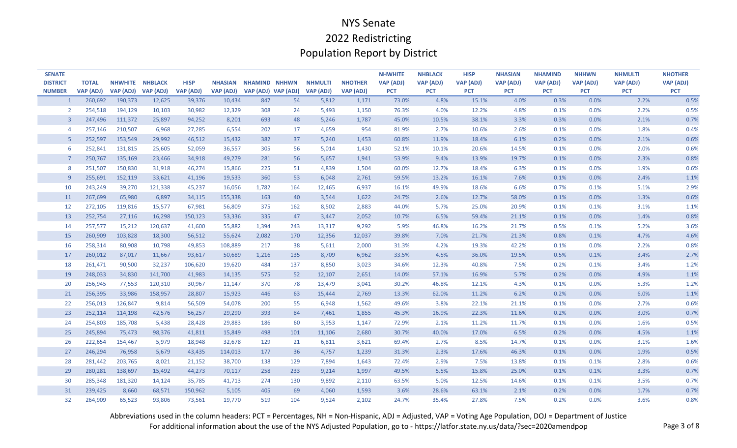| <b>SENATE</b>   |                  |                 |           |             |                |                      |                     |                |                | <b>NHWHITE</b>   | <b>NHBLACK</b>   | <b>HISP</b>      | <b>NHASIAN</b>   | <b>NHAMIND</b>   | <b>NHHWN</b>     | <b>NHMULTI</b>   | <b>NHOTHER</b>   |
|-----------------|------------------|-----------------|-----------|-------------|----------------|----------------------|---------------------|----------------|----------------|------------------|------------------|------------------|------------------|------------------|------------------|------------------|------------------|
| <b>DISTRICT</b> | <b>TOTAL</b>     | NHWHITE NHBLACK |           | <b>HISP</b> | <b>NHASIAN</b> | <b>NHAMIND NHHWN</b> |                     | <b>NHMULTI</b> | <b>NHOTHER</b> | <b>VAP (ADJ)</b> | <b>VAP (ADJ)</b> | <b>VAP (ADJ)</b> | <b>VAP (ADJ)</b> | <b>VAP (ADJ)</b> | <b>VAP (ADJ)</b> | <b>VAP (ADJ)</b> | <b>VAP (ADJ)</b> |
| <b>NUMBER</b>   | <b>VAP (ADJ)</b> | VAP (ADJ)       | VAP (ADJ) | VAP (ADJ)   | VAP (ADJ)      |                      | VAP (ADJ) VAP (ADJ) | VAP (ADJ)      | VAP (ADJ)      | <b>PCT</b>       | <b>PCT</b>       | <b>PCT</b>       | <b>PCT</b>       | <b>PCT</b>       | <b>PCT</b>       | <b>PCT</b>       | <b>PCT</b>       |
| $\mathbf{1}$    | 260,692          | 190,373         | 12,625    | 39,376      | 10,434         | 847                  | 54                  | 5,812          | 1,171          | 73.0%            | 4.8%             | 15.1%            | 4.0%             | 0.3%             | 0.0%             | 2.2%             | 0.5%             |
| $\overline{2}$  | 254,518          | 194,129         | 10,103    | 30,982      | 12,329         | 308                  | 24                  | 5,493          | 1,150          | 76.3%            | 4.0%             | 12.2%            | 4.8%             | 0.1%             | 0.0%             | 2.2%             | 0.5%             |
| ्द              | 247,496          | 111,372         | 25,897    | 94,252      | 8,201          | 693                  | 48                  | 5,246          | 1,787          | 45.0%            | 10.5%            | 38.1%            | 3.3%             | 0.3%             | 0.0%             | 2.1%             | 0.7%             |
| $\overline{4}$  | 257,146          | 210,507         | 6,968     | 27,285      | 6,554          | 202                  | 17                  | 4,659          | 954            | 81.9%            | 2.7%             | 10.6%            | 2.6%             | 0.1%             | 0.0%             | 1.8%             | 0.4%             |
| 5 <sup>5</sup>  | 252,597          | 153,549         | 29,992    | 46,512      | 15,432         | 382                  | 37                  | 5,240          | 1,453          | 60.8%            | 11.9%            | 18.4%            | 6.1%             | 0.2%             | 0.0%             | 2.1%             | 0.6%             |
| 6               | 252,841          | 131,815         | 25,605    | 52,059      | 36,557         | 305                  | 56                  | 5,014          | 1,430          | 52.1%            | 10.1%            | 20.6%            | 14.5%            | 0.1%             | 0.0%             | 2.0%             | 0.6%             |
|                 | 250,767          | 135,169         | 23,466    | 34,918      | 49,279         | 281                  | 56                  | 5,657          | 1,941          | 53.9%            | 9.4%             | 13.9%            | 19.7%            | 0.1%             | 0.0%             | 2.3%             | 0.8%             |
| $\mathsf{R}$    | 251,507          | 150,830         | 31,918    | 46,274      | 15,866         | 225                  | 51                  | 4,839          | 1,504          | 60.0%            | 12.7%            | 18.4%            | 6.3%             | 0.1%             | 0.0%             | 1.9%             | 0.6%             |
| $\mathsf{q}$    | 255,691          | 152,119         | 33,621    | 41,196      | 19,533         | 360                  | 53                  | 6,048          | 2,761          | 59.5%            | 13.2%            | 16.1%            | 7.6%             | 0.1%             | 0.0%             | 2.4%             | 1.1%             |
| 10              | 243,249          | 39,270          | 121,338   | 45,237      | 16,056         | 1,782                | 164                 | 12,465         | 6,937          | 16.1%            | 49.9%            | 18.6%            | 6.6%             | 0.7%             | 0.1%             | 5.1%             | 2.9%             |
| 11              | 267,699          | 65,980          | 6,897     | 34,115      | 155,338        | 163                  | 40                  | 3,544          | 1,622          | 24.7%            | 2.6%             | 12.7%            | 58.0%            | 0.1%             | 0.0%             | 1.3%             | 0.6%             |
| 12              | 272,105          | 119,816         | 15,577    | 67,981      | 56,809         | 375                  | 162                 | 8,502          | 2,883          | 44.0%            | 5.7%             | 25.0%            | 20.9%            | 0.1%             | 0.1%             | 3.1%             | 1.1%             |
| 13              | 252,754          | 27,116          | 16,298    | 150,123     | 53,336         | 335                  | 47                  | 3,447          | 2,052          | 10.7%            | 6.5%             | 59.4%            | 21.1%            | 0.1%             | 0.0%             | 1.4%             | 0.8%             |
| 14              | 257,577          | 15,212          | 120,637   | 41,600      | 55,882         | 1,394                | 243                 | 13,317         | 9,292          | 5.9%             | 46.8%            | 16.2%            | 21.7%            | 0.5%             | 0.1%             | 5.2%             | 3.6%             |
| 15              | 260,909          | 103,828         | 18,300    | 56,512      | 55,624         | 2,082                | 170                 | 12,356         | 12,037         | 39.8%            | 7.0%             | 21.7%            | 21.3%            | 0.8%             | 0.1%             | 4.7%             | 4.6%             |
| 16              | 258,314          | 80,908          | 10,798    | 49,853      | 108,889        | 217                  | 38                  | 5,611          | 2,000          | 31.3%            | 4.2%             | 19.3%            | 42.2%            | 0.1%             | 0.0%             | 2.2%             | 0.8%             |
| 17              | 260,012          | 87,017          | 11,667    | 93,617      | 50,689         | 1,216                | 135                 | 8,709          | 6,962          | 33.5%            | 4.5%             | 36.0%            | 19.5%            | 0.5%             | 0.1%             | 3.4%             | 2.7%             |
| 18              | 261,471          | 90,500          | 32,237    | 106,620     | 19,620         | 484                  | 137                 | 8,850          | 3,023          | 34.6%            | 12.3%            | 40.8%            | 7.5%             | 0.2%             | 0.1%             | 3.4%             | 1.2%             |
| 19              | 248,033          | 34,830          | 141,700   | 41,983      | 14,135         | 575                  | 52                  | 12,107         | 2,651          | 14.0%            | 57.1%            | 16.9%            | 5.7%             | 0.2%             | 0.0%             | 4.9%             | 1.1%             |
| 20              | 256,945          | 77,553          | 120,310   | 30,967      | 11,147         | 370                  | 78                  | 13,479         | 3,041          | 30.2%            | 46.8%            | 12.1%            | 4.3%             | 0.1%             | 0.0%             | 5.3%             | 1.2%             |
| 21              | 256,395          | 33,986          | 158,957   | 28,807      | 15,923         | 446                  | 63                  | 15,444         | 2,769          | 13.3%            | 62.0%            | 11.2%            | 6.2%             | 0.2%             | 0.0%             | 6.0%             | 1.1%             |
| 22              | 256,013          | 126,847         | 9,814     | 56,509      | 54,078         | 200                  | 55                  | 6,948          | 1,562          | 49.6%            | 3.8%             | 22.1%            | 21.1%            | 0.1%             | 0.0%             | 2.7%             | 0.6%             |
| 23              | 252,114          | 114,198         | 42,576    | 56,257      | 29,290         | 393                  | 84                  | 7,461          | 1,855          | 45.3%            | 16.9%            | 22.3%            | 11.6%            | 0.2%             | 0.0%             | 3.0%             | 0.7%             |
| 24              | 254,803          | 185,708         | 5,438     | 28,428      | 29,883         | 186                  | 60                  | 3,953          | 1,147          | 72.9%            | 2.1%             | 11.2%            | 11.7%            | 0.1%             | 0.0%             | 1.6%             | 0.5%             |
| 25              | 245,894          | 75,473          | 98,376    | 41,811      | 15,849         | 498                  | 101                 | 11,106         | 2,680          | 30.7%            | 40.0%            | 17.0%            | 6.5%             | 0.2%             | 0.0%             | 4.5%             | 1.1%             |
| 26              | 222,654          | 154,467         | 5,979     | 18,948      | 32,678         | 129                  | 21                  | 6,811          | 3,621          | 69.4%            | 2.7%             | 8.5%             | 14.7%            | 0.1%             | 0.0%             | 3.1%             | 1.6%             |
| 27              | 246,294          | 76,958          | 5,679     | 43,435      | 114,013        | 177                  | 36                  | 4,757          | 1,239          | 31.3%            | 2.3%             | 17.6%            | 46.3%            | 0.1%             | 0.0%             | 1.9%             | 0.5%             |
| 28              | 281,442          | 203,765         | 8,021     | 21,152      | 38,700         | 138                  | 129                 | 7,894          | 1,643          | 72.4%            | 2.9%             | 7.5%             | 13.8%            | 0.1%             | 0.1%             | 2.8%             | 0.6%             |
| 29              | 280,281          | 138,697         | 15,492    | 44,273      | 70,117         | 258                  | 233                 | 9,214          | 1,997          | 49.5%            | 5.5%             | 15.8%            | 25.0%            | 0.1%             | 0.1%             | 3.3%             | 0.7%             |
| 30              | 285,348          | 181,320         | 14,124    | 35,785      | 41,713         | 274                  | 130                 | 9,892          | 2,110          | 63.5%            | 5.0%             | 12.5%            | 14.6%            | 0.1%             | 0.1%             | 3.5%             | 0.7%             |
| 31              | 239,425          | 8,660           | 68,571    | 150,962     | 5,105          | 405                  | 69                  | 4,060          | 1,593          | 3.6%             | 28.6%            | 63.1%            | 2.1%             | 0.2%             | 0.0%             | 1.7%             | 0.7%             |
| 32              | 264,909          | 65,523          | 93,806    | 73,561      | 19,770         | 519                  | 104                 | 9,524          | 2,102          | 24.7%            | 35.4%            | 27.8%            | 7.5%             | 0.2%             | 0.0%             | 3.6%             | 0.8%             |

Abbreviations used in the column headers: PCT = Percentages, NH = Non-Hispanic, ADJ = Adjusted, VAP = Voting Age Population, DOJ = Department of Justice

For additional information about the use of the NYS Adjusted Population, go to - https://latfor.state.ny.us/data/?sec=2020amendpop Page 3 of 8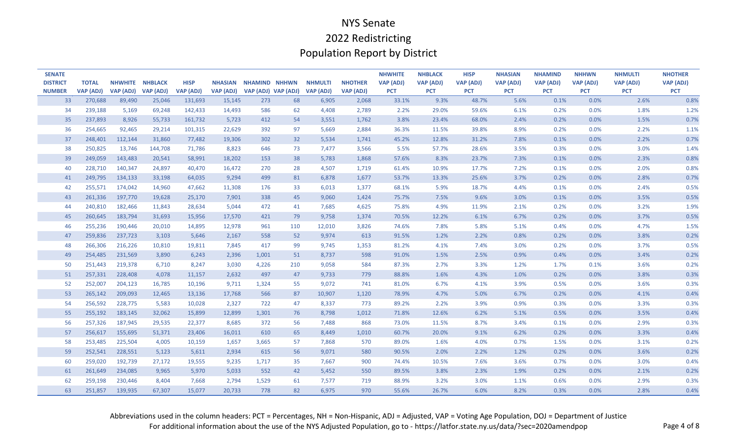| <b>SENATE</b><br><b>DISTRICT</b> | <b>TOTAL</b> |                                        |         | <b>HISP</b> | <b>NHASIAN</b> | <b>NHAMIND NHHWN</b> |     | <b>NHMULTI</b> | <b>NHOTHER</b>   | <b>NHWHITE</b><br><b>VAP (ADJ)</b> | <b>NHBLACK</b>          | <b>HISP</b><br><b>VAP (ADJ)</b> | <b>NHASIAN</b>                 | <b>NHAMIND</b><br><b>VAP (ADJ)</b> | <b>NHHWN</b>            | <b>NHMULTI</b>                 | <b>NHOTHER</b>                 |
|----------------------------------|--------------|----------------------------------------|---------|-------------|----------------|----------------------|-----|----------------|------------------|------------------------------------|-------------------------|---------------------------------|--------------------------------|------------------------------------|-------------------------|--------------------------------|--------------------------------|
| <b>NUMBER</b>                    | VAP (ADJ)    | NHWHITE NHBLACK<br>VAP (ADJ) VAP (ADJ) |         | VAP (ADJ)   | VAP (ADJ)      | VAP (ADJ) VAP (ADJ)  |     | VAP (ADJ)      | <b>VAP (ADJ)</b> | <b>PCT</b>                         | VAP (ADJ)<br><b>PCT</b> | <b>PCT</b>                      | <b>VAP (ADJ)</b><br><b>PCT</b> | <b>PCT</b>                         | VAP (ADJ)<br><b>PCT</b> | <b>VAP (ADJ)</b><br><b>PCT</b> | <b>VAP (ADJ)</b><br><b>PCT</b> |
| 33                               | 270,688      | 89,490                                 | 25,046  | 131,693     | 15,145         | 273                  | 68  | 6,905          | 2,068            | 33.1%                              | 9.3%                    | 48.7%                           | 5.6%                           | 0.1%                               | 0.0%                    | 2.6%                           | 0.8%                           |
| 34                               | 239,188      | 5,169                                  | 69,248  | 142,433     | 14,493         | 586                  | 62  | 4,408          | 2,789            | 2.2%                               | 29.0%                   | 59.6%                           | 6.1%                           | 0.2%                               | 0.0%                    | 1.8%                           | 1.2%                           |
| 35                               | 237,893      | 8,926                                  | 55,733  | 161,732     | 5,723          | 412                  | 54  | 3,551          | 1,762            | 3.8%                               | 23.4%                   | 68.0%                           | 2.4%                           | 0.2%                               | 0.0%                    | 1.5%                           | 0.7%                           |
| 36                               | 254,665      | 92,465                                 | 29,214  | 101,315     | 22,629         | 392                  | 97  | 5,669          | 2,884            | 36.3%                              | 11.5%                   | 39.8%                           | 8.9%                           | 0.2%                               | 0.0%                    | 2.2%                           | 1.1%                           |
| 37                               | 248,401      | 112,144                                | 31,860  | 77,482      | 19,306         | 302                  | 32  | 5,534          | 1,741            | 45.2%                              | 12.8%                   | 31.2%                           | 7.8%                           | 0.1%                               | 0.0%                    | 2.2%                           | 0.7%                           |
| 38                               | 250,825      | 13,746                                 | 144,708 | 71,786      | 8,823          | 646                  | 73  | 7,477          | 3,566            | 5.5%                               | 57.7%                   | 28.6%                           | 3.5%                           | 0.3%                               | 0.0%                    | 3.0%                           | 1.4%                           |
| 39                               | 249,059      | 143,483                                | 20,541  | 58,991      | 18,202         | 153                  | 38  | 5,783          | 1,868            | 57.6%                              | 8.3%                    | 23.7%                           | 7.3%                           | 0.1%                               | 0.0%                    | 2.3%                           | 0.8%                           |
| 40                               | 228,710      | 140,347                                | 24,897  | 40,470      | 16,472         | 270                  | 28  | 4,507          | 1,719            | 61.4%                              | 10.9%                   | 17.7%                           | 7.2%                           | 0.1%                               | 0.0%                    | 2.0%                           | 0.8%                           |
| 41                               | 249,795      | 134,133                                | 33,198  | 64,035      | 9,294          | 499                  | 81  | 6,878          | 1,677            | 53.7%                              | 13.3%                   | 25.6%                           | 3.7%                           | 0.2%                               | 0.0%                    | 2.8%                           | 0.7%                           |
| 42                               | 255,571      | 174,042                                | 14,960  | 47,662      | 11,308         | 176                  | 33  | 6,013          | 1,377            | 68.1%                              | 5.9%                    | 18.7%                           | 4.4%                           | 0.1%                               | 0.0%                    | 2.4%                           | 0.5%                           |
| 43                               | 261,336      | 197,770                                | 19,628  | 25,170      | 7,901          | 338                  | 45  | 9,060          | 1,424            | 75.7%                              | 7.5%                    | 9.6%                            | 3.0%                           | 0.1%                               | 0.0%                    | 3.5%                           | 0.5%                           |
| 44                               | 240,810      | 182,466                                | 11,843  | 28,634      | 5,044          | 472                  | 41  | 7,685          | 4,625            | 75.8%                              | 4.9%                    | 11.9%                           | 2.1%                           | 0.2%                               | 0.0%                    | 3.2%                           | 1.9%                           |
| 45                               | 260,645      | 183,794                                | 31,693  | 15,956      | 17,570         | 421                  | 79  | 9,758          | 1,374            | 70.5%                              | 12.2%                   | 6.1%                            | 6.7%                           | 0.2%                               | 0.0%                    | 3.7%                           | 0.5%                           |
| 46                               | 255,236      | 190,446                                | 20,010  | 14,895      | 12,978         | 961                  | 110 | 12,010         | 3,826            | 74.6%                              | 7.8%                    | 5.8%                            | 5.1%                           | 0.4%                               | 0.0%                    | 4.7%                           | 1.5%                           |
| 47                               | 259,836      | 237,723                                | 3,103   | 5,646       | 2,167          | 558                  | 52  | 9,974          | 613              | 91.5%                              | 1.2%                    | 2.2%                            | 0.8%                           | 0.2%                               | 0.0%                    | 3.8%                           | 0.2%                           |
| 48                               | 266,306      | 216,226                                | 10,810  | 19,811      | 7,845          | 417                  | 99  | 9,745          | 1,353            | 81.2%                              | 4.1%                    | 7.4%                            | 3.0%                           | 0.2%                               | 0.0%                    | 3.7%                           | 0.5%                           |
| 49                               | 254,485      | 231,569                                | 3,890   | 6,243       | 2,396          | 1,001                | 51  | 8,737          | 598              | 91.0%                              | 1.5%                    | 2.5%                            | 0.9%                           | 0.4%                               | 0.0%                    | 3.4%                           | 0.2%                           |
| 50                               | 251,443      | 219,378                                | 6,710   | 8,247       | 3,030          | 4,226                | 210 | 9,058          | 584              | 87.3%                              | 2.7%                    | 3.3%                            | 1.2%                           | 1.7%                               | 0.1%                    | 3.6%                           | 0.2%                           |
| 51                               | 257,331      | 228,408                                | 4,078   | 11,157      | 2,632          | 497                  | 47  | 9,733          | 779              | 88.8%                              | 1.6%                    | 4.3%                            | 1.0%                           | 0.2%                               | 0.0%                    | 3.8%                           | 0.3%                           |
| 52                               | 252,007      | 204,123                                | 16,785  | 10,196      | 9,711          | 1,324                | 55  | 9,072          | 741              | 81.0%                              | 6.7%                    | 4.1%                            | 3.9%                           | 0.5%                               | 0.0%                    | 3.6%                           | 0.3%                           |
| 53                               | 265,142      | 209,093                                | 12,465  | 13,136      | 17,768         | 566                  | 87  | 10,907         | 1,120            | 78.9%                              | 4.7%                    | 5.0%                            | 6.7%                           | 0.2%                               | 0.0%                    | 4.1%                           | 0.4%                           |
| 54                               | 256,592      | 228,775                                | 5,583   | 10,028      | 2,327          | 722                  | 47  | 8,337          | 773              | 89.2%                              | 2.2%                    | 3.9%                            | 0.9%                           | 0.3%                               | 0.0%                    | 3.3%                           | 0.3%                           |
| 55                               | 255,192      | 183,145                                | 32,062  | 15,899      | 12,899         | 1,301                | 76  | 8,798          | 1,012            | 71.8%                              | 12.6%                   | 6.2%                            | 5.1%                           | 0.5%                               | 0.0%                    | 3.5%                           | 0.4%                           |
| 56                               | 257,326      | 187,945                                | 29,535  | 22,377      | 8,685          | 372                  | 56  | 7,488          | 868              | 73.0%                              | 11.5%                   | 8.7%                            | 3.4%                           | 0.1%                               | 0.0%                    | 2.9%                           | 0.3%                           |
| 57                               | 256,617      | 155,695                                | 51,371  | 23,406      | 16,011         | 610                  | 65  | 8,449          | 1,010            | 60.7%                              | 20.0%                   | 9.1%                            | 6.2%                           | 0.2%                               | 0.0%                    | 3.3%                           | 0.4%                           |
| 58                               | 253,485      | 225,504                                | 4,005   | 10,159      | 1,657          | 3,665                | 57  | 7,868          | 570              | 89.0%                              | 1.6%                    | 4.0%                            | 0.7%                           | 1.5%                               | 0.0%                    | 3.1%                           | 0.2%                           |
| 59                               | 252,541      | 228,551                                | 5,123   | 5,611       | 2,934          | 615                  | 56  | 9,071          | 580              | 90.5%                              | 2.0%                    | 2.2%                            | 1.2%                           | 0.2%                               | 0.0%                    | 3.6%                           | 0.2%                           |
| 60                               | 259,020      | 192,739                                | 27,172  | 19,555      | 9,235          | 1,717                | 35  | 7,667          | 900              | 74.4%                              | 10.5%                   | 7.6%                            | 3.6%                           | 0.7%                               | 0.0%                    | 3.0%                           | 0.4%                           |
| 61                               | 261,649      | 234,085                                | 9,965   | 5,970       | 5,033          | 552                  | 42  | 5,452          | 550              | 89.5%                              | 3.8%                    | 2.3%                            | 1.9%                           | 0.2%                               | 0.0%                    | 2.1%                           | 0.2%                           |
| 62                               | 259,198      | 230,446                                | 8,404   | 7,668       | 2,794          | 1,529                | 61  | 7,577          | 719              | 88.9%                              | 3.2%                    | 3.0%                            | 1.1%                           | 0.6%                               | 0.0%                    | 2.9%                           | 0.3%                           |
| 63                               | 251,857      | 139,935                                | 67,307  | 15,077      | 20,733         | 778                  | 82  | 6,975          | 970              | 55.6%                              | 26.7%                   | 6.0%                            | 8.2%                           | 0.3%                               | 0.0%                    | 2.8%                           | 0.4%                           |

Abbreviations used in the column headers: PCT = Percentages, NH = Non-Hispanic, ADJ = Adjusted, VAP = Voting Age Population, DOJ = Department of Justice For additional information about the use of the NYS Adjusted Population, go to - https://latfor.state.ny.us/data/?sec=2020amendpop Page 4 of 8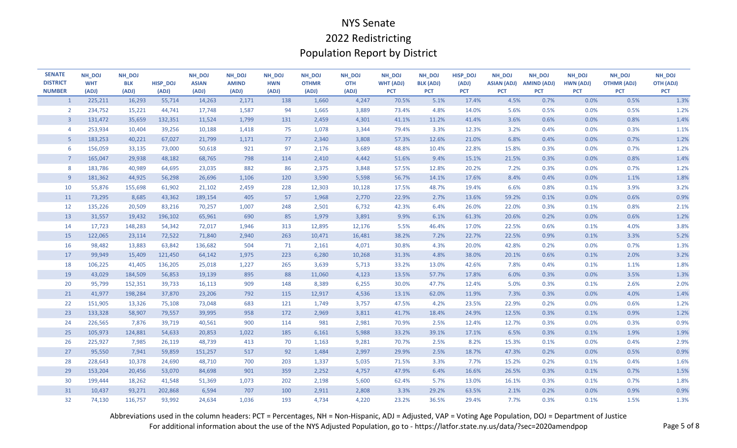| <b>SENATE</b><br><b>DISTRICT</b> | <b>NH DOJ</b><br><b>WHT</b> | NH DOJ<br><b>BLK</b> | <b>HISP DOJ</b> | NH DOJ<br><b>ASIAN</b> | NH_DOJ<br><b>AMIND</b> | NH_DOJ<br><b>HWN</b> | NH_DOJ<br><b>OTHMR</b> | NH DOJ<br><b>OTH</b> | <b>NH DOJ</b><br><b>WHT (ADJ)</b> | NH DOJ<br><b>BLK (ADJ)</b> | HISP_DOJ<br>(ADJ) | <b>NH DOJ</b> | <b>NH DOJ</b><br>ASIAN (ADJ) AMIND (ADJ) | NH DOJ<br>HWN (ADJ) | <b>NH DOJ</b><br><b>OTHMR (ADJ)</b> | NH_DOJ<br><b>OTH (ADJ)</b> |
|----------------------------------|-----------------------------|----------------------|-----------------|------------------------|------------------------|----------------------|------------------------|----------------------|-----------------------------------|----------------------------|-------------------|---------------|------------------------------------------|---------------------|-------------------------------------|----------------------------|
| <b>NUMBER</b>                    | (ADJ)                       | (ADJ)                | (ADJ)           | (ADJ)                  | (ADJ)                  | (ADJ)                | (ADJ)                  | (ADJ)                | <b>PCT</b>                        | <b>PCT</b>                 | <b>PCT</b>        | <b>PCT</b>    | <b>PCT</b>                               | <b>PCT</b>          | <b>PCT</b>                          | <b>PCT</b>                 |
| $\mathbf{1}$                     | 225,211                     | 16,293               | 55,714          | 14,263                 | 2,171                  | 138                  | 1,660                  | 4,247                | 70.5%                             | 5.1%                       | 17.4%             | 4.5%          | 0.7%                                     | 0.0%                | 0.5%                                | 1.3%                       |
| $\overline{2}$                   | 234,752                     | 15,221               | 44,741          | 17,748                 | 1,587                  | 94                   | 1,665                  | 3,889                | 73.4%                             | 4.8%                       | 14.0%             | 5.6%          | 0.5%                                     | 0.0%                | 0.5%                                | 1.2%                       |
| $\mathbf{3}$                     | 131,472                     | 35,659               | 132,351         | 11,524                 | 1,799                  | 131                  | 2,459                  | 4,301                | 41.1%                             | 11.2%                      | 41.4%             | 3.6%          | 0.6%                                     | 0.0%                | 0.8%                                | 1.4%                       |
| $\overline{4}$                   | 253,934                     | 10,404               | 39,256          | 10,188                 | 1,418                  | 75                   | 1,078                  | 3,344                | 79.4%                             | 3.3%                       | 12.3%             | 3.2%          | 0.4%                                     | 0.0%                | 0.3%                                | 1.1%                       |
| 5 <sup>1</sup>                   | 183,253                     | 40,221               | 67,027          | 21,799                 | 1,171                  | 77                   | 2,340                  | 3,808                | 57.3%                             | 12.6%                      | 21.0%             | 6.8%          | 0.4%                                     | 0.0%                | 0.7%                                | 1.2%                       |
| 6                                | 156,059                     | 33,135               | 73,000          | 50,618                 | 921                    | 97                   | 2,176                  | 3,689                | 48.8%                             | 10.4%                      | 22.8%             | 15.8%         | 0.3%                                     | 0.0%                | 0.7%                                | 1.2%                       |
| 7 <sup>7</sup>                   | 165,047                     | 29,938               | 48,182          | 68,765                 | 798                    | 114                  | 2,410                  | 4,442                | 51.6%                             | 9.4%                       | 15.1%             | 21.5%         | 0.3%                                     | 0.0%                | 0.8%                                | 1.4%                       |
| 8                                | 183,786                     | 40,989               | 64,695          | 23,035                 | 882                    | 86                   | 2,375                  | 3,848                | 57.5%                             | 12.8%                      | 20.2%             | 7.2%          | 0.3%                                     | 0.0%                | 0.7%                                | 1.2%                       |
| 9                                | 181,362                     | 44,925               | 56,298          | 26,696                 | 1,106                  | 120                  | 3,590                  | 5,598                | 56.7%                             | 14.1%                      | 17.6%             | 8.4%          | 0.4%                                     | 0.0%                | 1.1%                                | 1.8%                       |
| 10                               | 55,876                      | 155,698              | 61,902          | 21,102                 | 2,459                  | 228                  | 12,303                 | 10,128               | 17.5%                             | 48.7%                      | 19.4%             | 6.6%          | 0.8%                                     | 0.1%                | 3.9%                                | 3.2%                       |
| 11                               | 73,295                      | 8,685                | 43,362          | 189,154                | 405                    | 57                   | 1,968                  | 2,770                | 22.9%                             | 2.7%                       | 13.6%             | 59.2%         | 0.1%                                     | 0.0%                | 0.6%                                | 0.9%                       |
| 12                               | 135,226                     | 20,509               | 83,216          | 70,257                 | 1,007                  | 248                  | 2,501                  | 6,732                | 42.3%                             | 6.4%                       | 26.0%             | 22.0%         | 0.3%                                     | 0.1%                | 0.8%                                | 2.1%                       |
| 13                               | 31,557                      | 19,432               | 196,102         | 65,961                 | 690                    | 85                   | 1,979                  | 3,891                | 9.9%                              | 6.1%                       | 61.3%             | 20.6%         | 0.2%                                     | 0.0%                | 0.6%                                | 1.2%                       |
| 14                               | 17,723                      | 148,283              | 54,342          | 72,017                 | 1,946                  | 313                  | 12,895                 | 12,176               | 5.5%                              | 46.4%                      | 17.0%             | 22.5%         | 0.6%                                     | 0.1%                | 4.0%                                | 3.8%                       |
| 15                               | 122,065                     | 23,114               | 72,522          | 71,840                 | 2,940                  | 263                  | 10,471                 | 16,481               | 38.2%                             | 7.2%                       | 22.7%             | 22.5%         | 0.9%                                     | 0.1%                | 3.3%                                | 5.2%                       |
| 16                               | 98,482                      | 13,883               | 63,842          | 136,682                | 504                    | 71                   | 2,161                  | 4,071                | 30.8%                             | 4.3%                       | 20.0%             | 42.8%         | 0.2%                                     | 0.0%                | 0.7%                                | 1.3%                       |
| 17                               | 99,949                      | 15,409               | 121,450         | 64,142                 | 1,975                  | 223                  | 6,280                  | 10,268               | 31.3%                             | 4.8%                       | 38.0%             | 20.1%         | 0.6%                                     | 0.1%                | 2.0%                                | 3.2%                       |
| 18                               | 106,225                     | 41,405               | 136,205         | 25,018                 | 1,227                  | 265                  | 3,639                  | 5,713                | 33.2%                             | 13.0%                      | 42.6%             | 7.8%          | 0.4%                                     | 0.1%                | 1.1%                                | 1.8%                       |
| 19                               | 43,029                      | 184,509              | 56,853          | 19,139                 | 895                    | 88                   | 11,060                 | 4,123                | 13.5%                             | 57.7%                      | 17.8%             | 6.0%          | 0.3%                                     | 0.0%                | 3.5%                                | 1.3%                       |
| 20                               | 95,799                      | 152,351              | 39,733          | 16,113                 | 909                    | 148                  | 8,389                  | 6,255                | 30.0%                             | 47.7%                      | 12.4%             | 5.0%          | 0.3%                                     | 0.1%                | 2.6%                                | 2.0%                       |
| 21                               | 41,977                      | 198,284              | 37,870          | 23,206                 | 792                    | 115                  | 12,917                 | 4,536                | 13.1%                             | 62.0%                      | 11.9%             | 7.3%          | 0.3%                                     | 0.0%                | 4.0%                                | 1.4%                       |
| 22                               | 151,905                     | 13,326               | 75,108          | 73,048                 | 683                    | 121                  | 1,749                  | 3,757                | 47.5%                             | 4.2%                       | 23.5%             | 22.9%         | 0.2%                                     | 0.0%                | 0.6%                                | 1.2%                       |
| 23                               | 133,328                     | 58,907               | 79,557          | 39,995                 | 958                    | 172                  | 2,969                  | 3,811                | 41.7%                             | 18.4%                      | 24.9%             | 12.5%         | 0.3%                                     | 0.1%                | 0.9%                                | 1.2%                       |
| 24                               | 226,565                     | 7,876                | 39,719          | 40,561                 | 900                    | 114                  | 981                    | 2,981                | 70.9%                             | 2.5%                       | 12.4%             | 12.7%         | 0.3%                                     | 0.0%                | 0.3%                                | 0.9%                       |
| 25                               | 105,973                     | 124,881              | 54,633          | 20,853                 | 1,022                  | 185                  | 6,161                  | 5,988                | 33.2%                             | 39.1%                      | 17.1%             | 6.5%          | 0.3%                                     | 0.1%                | 1.9%                                | 1.9%                       |
| 26                               | 225,927                     | 7,985                | 26,119          | 48,739                 | 413                    | 70                   | 1,163                  | 9,281                | 70.7%                             | 2.5%                       | 8.2%              | 15.3%         | 0.1%                                     | 0.0%                | 0.4%                                | 2.9%                       |
| 27                               | 95,550                      | 7,941                | 59,859          | 151,257                | 517                    | 92                   | 1,484                  | 2,997                | 29.9%                             | 2.5%                       | 18.7%             | 47.3%         | 0.2%                                     | 0.0%                | 0.5%                                | 0.9%                       |
| 28                               | 228,643                     | 10,378               | 24,690          | 48,710                 | 700                    | 203                  | 1,337                  | 5,035                | 71.5%                             | 3.3%                       | 7.7%              | 15.2%         | 0.2%                                     | 0.1%                | 0.4%                                | 1.6%                       |
| 29                               | 153,204                     | 20,456               | 53,070          | 84,698                 | 901                    | 359                  | 2,252                  | 4,757                | 47.9%                             | 6.4%                       | 16.6%             | 26.5%         | 0.3%                                     | 0.1%                | 0.7%                                | 1.5%                       |
| 30                               | 199,444                     | 18,262               | 41,548          | 51,369                 | 1,073                  | 202                  | 2,198                  | 5,600                | 62.4%                             | 5.7%                       | 13.0%             | 16.1%         | 0.3%                                     | 0.1%                | 0.7%                                | 1.8%                       |
| 31                               | 10,437                      | 93,271               | 202,868         | 6,594                  | 707                    | 100                  | 2,911                  | 2,808                | 3.3%                              | 29.2%                      | 63.5%             | 2.1%          | 0.2%                                     | 0.0%                | 0.9%                                | 0.9%                       |
| 32                               | 74,130                      | 116,757              | 93,992          | 24,634                 | 1,036                  | 193                  | 4,734                  | 4,220                | 23.2%                             | 36.5%                      | 29.4%             | 7.7%          | 0.3%                                     | 0.1%                | 1.5%                                | 1.3%                       |

Abbreviations used in the column headers: PCT = Percentages, NH = Non-Hispanic, ADJ = Adjusted, VAP = Voting Age Population, DOJ = Department of Justice

For additional information about the use of the NYS Adjusted Population, go to - https://latfor.state.ny.us/data/?sec=2020amendpop Page 5 of 8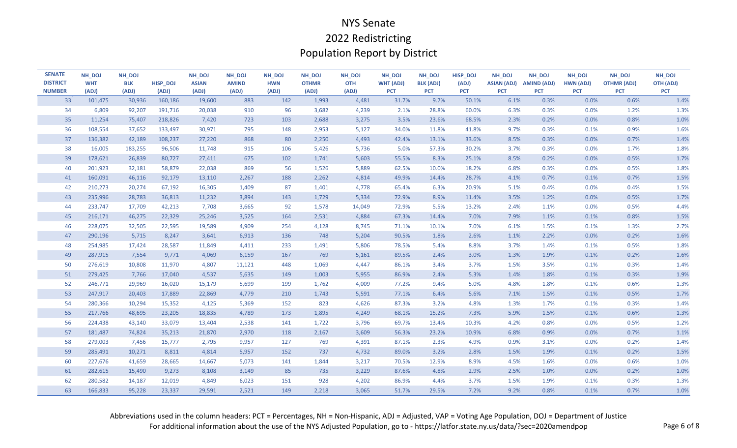| <b>SENATE</b><br><b>DISTRICT</b> | <b>NH DOJ</b><br><b>WHT</b> | NH_DOJ<br><b>BLK</b> | <b>HISP DOJ</b> | <b>NH DOJ</b><br><b>ASIAN</b> | NH_DOJ<br><b>AMIND</b> | NH_DOJ<br><b>HWN</b> | NH DOJ<br><b>OTHMR</b> | NH_DOJ<br><b>OTH</b> | NH DOJ<br><b>WHT (ADJ)</b> | NH DOJ<br><b>BLK (ADJ)</b> | HISP_DOJ<br>(ADJ) | NH DOJ<br><b>ASIAN (ADJ)</b> | <b>NH DOJ</b><br><b>AMIND (ADJ)</b> | <b>NH DOJ</b><br>HWN (ADJ) | NH DOJ<br><b>OTHMR (ADJ)</b> | <b>NH DOJ</b><br><b>OTH (ADJ)</b> |
|----------------------------------|-----------------------------|----------------------|-----------------|-------------------------------|------------------------|----------------------|------------------------|----------------------|----------------------------|----------------------------|-------------------|------------------------------|-------------------------------------|----------------------------|------------------------------|-----------------------------------|
| <b>NUMBER</b>                    | (ADJ)                       | (ADJ)                | (ADJ)           | (ADJ)                         | (ADJ)                  | (ADJ)                | (ADJ)                  | (ADJ)                | <b>PCT</b>                 | <b>PCT</b>                 | <b>PCT</b>        | <b>PCT</b>                   | <b>PCT</b>                          | <b>PCT</b>                 | <b>PCT</b>                   | <b>PCT</b>                        |
| 33                               | 101,475                     | 30,936               | 160,186         | 19,600                        | 883                    | 142                  | 1,993                  | 4,481                | 31.7%                      | 9.7%                       | 50.1%             | 6.1%                         | 0.3%                                | 0.0%                       | 0.6%                         | 1.4%                              |
| 34                               | 6,809                       | 92,207               | 191,716         | 20,038                        | 910                    | 96                   | 3,682                  | 4,239                | 2.1%                       | 28.8%                      | 60.0%             | 6.3%                         | 0.3%                                | 0.0%                       | 1.2%                         | 1.3%                              |
| 35                               | 11,254                      | 75,407               | 218,826         | 7,420                         | 723                    | 103                  | 2,688                  | 3,275                | 3.5%                       | 23.6%                      | 68.5%             | 2.3%                         | 0.2%                                | 0.0%                       | 0.8%                         | 1.0%                              |
| 36                               | 108,554                     | 37,652               | 133,497         | 30,971                        | 795                    | 148                  | 2,953                  | 5,127                | 34.0%                      | 11.8%                      | 41.8%             | 9.7%                         | 0.3%                                | 0.1%                       | 0.9%                         | 1.6%                              |
| 37                               | 136,382                     | 42,189               | 108,237         | 27,220                        | 868                    | 80                   | 2,250                  | 4,493                | 42.4%                      | 13.1%                      | 33.6%             | 8.5%                         | 0.3%                                | 0.0%                       | 0.7%                         | 1.4%                              |
| 38                               | 16,005                      | 183,255              | 96,506          | 11,748                        | 915                    | 106                  | 5,426                  | 5,736                | 5.0%                       | 57.3%                      | 30.2%             | 3.7%                         | 0.3%                                | 0.0%                       | 1.7%                         | 1.8%                              |
| 39                               | 178,621                     | 26,839               | 80,727          | 27,411                        | 675                    | 102                  | 1,741                  | 5,603                | 55.5%                      | 8.3%                       | 25.1%             | 8.5%                         | 0.2%                                | 0.0%                       | 0.5%                         | 1.7%                              |
| 40                               | 201,923                     | 32,181               | 58,879          | 22,038                        | 869                    | 56                   | 1,526                  | 5,889                | 62.5%                      | 10.0%                      | 18.2%             | 6.8%                         | 0.3%                                | 0.0%                       | 0.5%                         | 1.8%                              |
| 41                               | 160,091                     | 46,116               | 92,179          | 13,110                        | 2,267                  | 188                  | 2,262                  | 4,814                | 49.9%                      | 14.4%                      | 28.7%             | 4.1%                         | 0.7%                                | 0.1%                       | 0.7%                         | 1.5%                              |
| 42                               | 210,273                     | 20,274               | 67,192          | 16,305                        | 1,409                  | 87                   | 1,401                  | 4,778                | 65.4%                      | 6.3%                       | 20.9%             | 5.1%                         | 0.4%                                | 0.0%                       | 0.4%                         | 1.5%                              |
| 43                               | 235,996                     | 28,783               | 36,813          | 11,232                        | 3,894                  | 143                  | 1,729                  | 5,334                | 72.9%                      | 8.9%                       | 11.4%             | 3.5%                         | 1.2%                                | 0.0%                       | 0.5%                         | 1.7%                              |
| 44                               | 233,747                     | 17,709               | 42,213          | 7,708                         | 3,665                  | 92                   | 1,578                  | 14,049               | 72.9%                      | 5.5%                       | 13.2%             | 2.4%                         | 1.1%                                | 0.0%                       | 0.5%                         | 4.4%                              |
| 45                               | 216,171                     | 46,275               | 22,329          | 25,246                        | 3,525                  | 164                  | 2,531                  | 4,884                | 67.3%                      | 14.4%                      | 7.0%              | 7.9%                         | 1.1%                                | 0.1%                       | 0.8%                         | 1.5%                              |
| 46                               | 228,075                     | 32,505               | 22,595          | 19,589                        | 4,909                  | 254                  | 4,128                  | 8,745                | 71.1%                      | 10.1%                      | 7.0%              | 6.1%                         | 1.5%                                | 0.1%                       | 1.3%                         | 2.7%                              |
| 47                               | 290,196                     | 5,715                | 8,247           | 3,641                         | 6,913                  | 136                  | 748                    | 5,204                | 90.5%                      | 1.8%                       | 2.6%              | 1.1%                         | 2.2%                                | 0.0%                       | 0.2%                         | 1.6%                              |
| 48                               | 254,985                     | 17,424               | 28,587          | 11,849                        | 4,411                  | 233                  | 1,491                  | 5,806                | 78.5%                      | 5.4%                       | 8.8%              | 3.7%                         | 1.4%                                | 0.1%                       | 0.5%                         | 1.8%                              |
| 49                               | 287,915                     | 7,554                | 9,771           | 4,069                         | 6,159                  | 167                  | 769                    | 5,161                | 89.5%                      | 2.4%                       | 3.0%              | 1.3%                         | 1.9%                                | 0.1%                       | 0.2%                         | 1.6%                              |
| 50                               | 276,619                     | 10,808               | 11,970          | 4,807                         | 11,121                 | 448                  | 1,069                  | 4,447                | 86.1%                      | 3.4%                       | 3.7%              | 1.5%                         | 3.5%                                | 0.1%                       | 0.3%                         | 1.4%                              |
| 51                               | 279,425                     | 7,766                | 17,040          | 4,537                         | 5,635                  | 149                  | 1,003                  | 5,955                | 86.9%                      | 2.4%                       | 5.3%              | 1.4%                         | 1.8%                                | 0.1%                       | 0.3%                         | 1.9%                              |
| 52                               | 246,771                     | 29,969               | 16,020          | 15,179                        | 5,699                  | 199                  | 1,762                  | 4,009                | 77.2%                      | 9.4%                       | 5.0%              | 4.8%                         | 1.8%                                | 0.1%                       | 0.6%                         | 1.3%                              |
| 53                               | 247,917                     | 20,403               | 17,889          | 22,869                        | 4,779                  | 210                  | 1,743                  | 5,591                | 77.1%                      | 6.4%                       | 5.6%              | 7.1%                         | 1.5%                                | 0.1%                       | 0.5%                         | 1.7%                              |
| 54                               | 280,366                     | 10,294               | 15,352          | 4,125                         | 5,369                  | 152                  | 823                    | 4,626                | 87.3%                      | 3.2%                       | 4.8%              | 1.3%                         | 1.7%                                | 0.1%                       | 0.3%                         | 1.4%                              |
| 55                               | 217,766                     | 48,695               | 23,205          | 18,835                        | 4,789                  | 173                  | 1,895                  | 4,249                | 68.1%                      | 15.2%                      | 7.3%              | 5.9%                         | 1.5%                                | 0.1%                       | 0.6%                         | 1.3%                              |
| 56                               | 224,438                     | 43,140               | 33,079          | 13,404                        | 2,538                  | 141                  | 1,722                  | 3,796                | 69.7%                      | 13.4%                      | 10.3%             | 4.2%                         | 0.8%                                | 0.0%                       | 0.5%                         | 1.2%                              |
| 57                               | 181,487                     | 74,824               | 35,213          | 21,870                        | 2,970                  | 118                  | 2,167                  | 3,609                | 56.3%                      | 23.2%                      | 10.9%             | 6.8%                         | 0.9%                                | 0.0%                       | 0.7%                         | 1.1%                              |
| 58                               | 279,003                     | 7,456                | 15,777          | 2,795                         | 9,957                  | 127                  | 769                    | 4,391                | 87.1%                      | 2.3%                       | 4.9%              | 0.9%                         | 3.1%                                | 0.0%                       | 0.2%                         | 1.4%                              |
| 59                               | 285,491                     | 10,271               | 8,811           | 4,814                         | 5,957                  | 152                  | 737                    | 4,732                | 89.0%                      | 3.2%                       | 2.8%              | 1.5%                         | 1.9%                                | 0.1%                       | 0.2%                         | 1.5%                              |
| 60                               | 227,676                     | 41,659               | 28,665          | 14,667                        | 5,073                  | 141                  | 1,844                  | 3,217                | 70.5%                      | 12.9%                      | 8.9%              | 4.5%                         | 1.6%                                | 0.0%                       | 0.6%                         | 1.0%                              |
| 61                               | 282,615                     | 15,490               | 9,273           | 8,108                         | 3,149                  | 85                   | 735                    | 3,229                | 87.6%                      | 4.8%                       | 2.9%              | 2.5%                         | 1.0%                                | 0.0%                       | 0.2%                         | 1.0%                              |
| 62                               | 280,582                     | 14,187               | 12,019          | 4,849                         | 6,023                  | 151                  | 928                    | 4,202                | 86.9%                      | 4.4%                       | 3.7%              | 1.5%                         | 1.9%                                | 0.1%                       | 0.3%                         | 1.3%                              |
| 63                               | 166,833                     | 95,228               | 23,337          | 29,591                        | 2,521                  | 149                  | 2,218                  | 3,065                | 51.7%                      | 29.5%                      | 7.2%              | 9.2%                         | 0.8%                                | 0.1%                       | 0.7%                         | 1.0%                              |

Abbreviations used in the column headers: PCT = Percentages, NH = Non-Hispanic, ADJ = Adjusted, VAP = Voting Age Population, DOJ = Department of Justice For additional information about the use of the NYS Adjusted Population, go to - https://latfor.state.ny.us/data/?sec=2020amendpop Page 6 of 8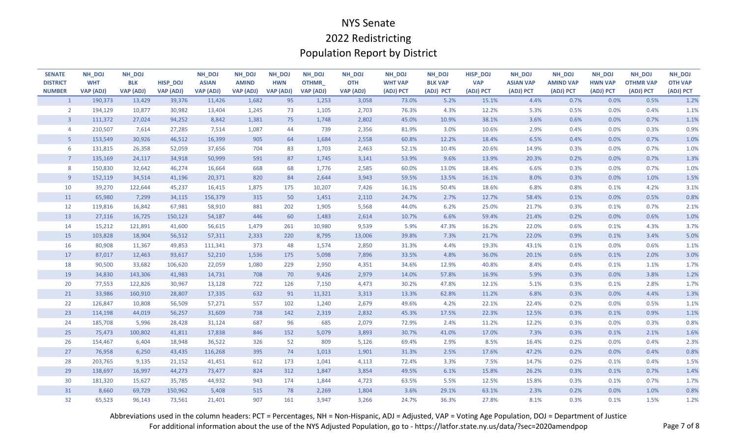| <b>SENATE</b>                    | NH_DOJ                         | NH_DOJ                  |                              | NH_DOJ                           | NH_DOJ                           | NH_DOJ                         | NH_DOJ                     | NH_DOJ                         | NH_DOJ                      | NH_DOJ                      | <b>HISP_DOJ</b>         | NH_DOJ                        | NH_DOJ                        | NH_DOJ                      | NH_DOJ                        | NH_DOJ                      |
|----------------------------------|--------------------------------|-------------------------|------------------------------|----------------------------------|----------------------------------|--------------------------------|----------------------------|--------------------------------|-----------------------------|-----------------------------|-------------------------|-------------------------------|-------------------------------|-----------------------------|-------------------------------|-----------------------------|
| <b>DISTRICT</b><br><b>NUMBER</b> | <b>WHT</b><br><b>VAP (ADJ)</b> | <b>BLK</b><br>VAP (ADJ) | HISP_DOJ<br><b>VAP (ADJ)</b> | <b>ASIAN</b><br><b>VAP (ADJ)</b> | <b>AMIND</b><br><b>VAP (ADJ)</b> | <b>HWN</b><br><b>VAP (ADJ)</b> | OTHMR_<br><b>VAP (ADJ)</b> | <b>OTH</b><br><b>VAP (ADJ)</b> | <b>WHT VAP</b><br>(ADJ) PCT | <b>BLK VAP</b><br>(ADJ) PCT | <b>VAP</b><br>(ADJ) PCT | <b>ASIAN VAP</b><br>(ADJ) PCT | <b>AMIND VAP</b><br>(ADJ) PCT | <b>HWN VAP</b><br>(ADJ) PCT | <b>OTHMR VAP</b><br>(ADJ) PCT | <b>OTH VAP</b><br>(ADJ) PCT |
|                                  | 190,373<br>$\mathbf{1}$        | 13,429                  | 39,376                       | 11,426                           | 1,682                            | 95                             | 1,253                      | 3,058                          | 73.0%                       | 5.2%                        | 15.1%                   | 4.4%                          | 0.7%                          | 0.0%                        | 0.5%                          | 1.2%                        |
|                                  | 194,129<br>$\overline{2}$      | 10,877                  | 30,982                       | 13,404                           | 1,245                            | 73                             | 1,105                      | 2,703                          | 76.3%                       | 4.3%                        | 12.2%                   | 5.3%                          | 0.5%                          | 0.0%                        | 0.4%                          | 1.1%                        |
|                                  | $\mathbf{3}$<br>111,372        | 27,024                  | 94,252                       | 8,842                            | 1,381                            | 75                             | 1,748                      | 2,802                          | 45.0%                       | 10.9%                       | 38.1%                   | 3.6%                          | 0.6%                          | 0.0%                        | 0.7%                          | 1.1%                        |
|                                  | $\overline{4}$<br>210,507      | 7,614                   | 27,285                       | 7,514                            | 1,087                            | 44                             | 739                        | 2,356                          | 81.9%                       | 3.0%                        | 10.6%                   | 2.9%                          | 0.4%                          | 0.0%                        | 0.3%                          | 0.9%                        |
|                                  | 5 <sup>1</sup><br>153,549      | 30,926                  | 46,512                       | 16,399                           | 905                              | 64                             | 1,684                      | 2,558                          | 60.8%                       | 12.2%                       | 18.4%                   | 6.5%                          | 0.4%                          | 0.0%                        | 0.7%                          | 1.0%                        |
|                                  | 6<br>131,815                   | 26,358                  | 52,059                       | 37,656                           | 704                              | 83                             | 1,703                      | 2,463                          | 52.1%                       | 10.4%                       | 20.6%                   | 14.9%                         | 0.3%                          | 0.0%                        | 0.7%                          | 1.0%                        |
|                                  | $\overline{7}$<br>135,169      | 24,117                  | 34,918                       | 50,999                           | 591                              | 87                             | 1,745                      | 3,141                          | 53.9%                       | 9.6%                        | 13.9%                   | 20.3%                         | 0.2%                          | 0.0%                        | 0.7%                          | 1.3%                        |
|                                  | 8<br>150,830                   | 32,642                  | 46,274                       | 16,664                           | 668                              | 68                             | 1,776                      | 2,585                          | 60.0%                       | 13.0%                       | 18.4%                   | 6.6%                          | 0.3%                          | 0.0%                        | 0.7%                          | 1.0%                        |
|                                  | 9 <sup>°</sup><br>152,119      | 34,514                  | 41,196                       | 20,371                           | 820                              | 84                             | 2,644                      | 3,943                          | 59.5%                       | 13.5%                       | 16.1%                   | 8.0%                          | 0.3%                          | 0.0%                        | 1.0%                          | 1.5%                        |
| 10                               | 39,270                         | 122,644                 | 45,237                       | 16,415                           | 1,875                            | 175                            | 10,207                     | 7,426                          | 16.1%                       | 50.4%                       | 18.6%                   | 6.8%                          | 0.8%                          | 0.1%                        | 4.2%                          | 3.1%                        |
| 11                               | 65,980                         | 7,299                   | 34,115                       | 156,379                          | 315                              | 50                             | 1,451                      | 2,110                          | 24.7%                       | 2.7%                        | 12.7%                   | 58.4%                         | 0.1%                          | 0.0%                        | 0.5%                          | 0.8%                        |
| 12                               | 119,816                        | 16,842                  | 67,981                       | 58,910                           | 881                              | 202                            | 1,905                      | 5,568                          | 44.0%                       | 6.2%                        | 25.0%                   | 21.7%                         | 0.3%                          | 0.1%                        | 0.7%                          | 2.1%                        |
| 13                               | 27,116                         | 16,725                  | 150,123                      | 54,187                           | 446                              | 60                             | 1,483                      | 2,614                          | 10.7%                       | 6.6%                        | 59.4%                   | 21.4%                         | 0.2%                          | 0.0%                        | 0.6%                          | 1.0%                        |
| 14                               | 15,212                         | 121,891                 | 41,600                       | 56,615                           | 1,479                            | 261                            | 10,980                     | 9,539                          | 5.9%                        | 47.3%                       | 16.2%                   | 22.0%                         | 0.6%                          | 0.1%                        | 4.3%                          | 3.7%                        |
| 15                               | 103,828                        | 18,904                  | 56,512                       | 57,311                           | 2,333                            | 220                            | 8,795                      | 13,006                         | 39.8%                       | 7.3%                        | 21.7%                   | 22.0%                         | 0.9%                          | 0.1%                        | 3.4%                          | 5.0%                        |
| 16                               | 80,908                         | 11,367                  | 49,853                       | 111,341                          | 373                              | 48                             | 1,574                      | 2,850                          | 31.3%                       | 4.4%                        | 19.3%                   | 43.1%                         | 0.1%                          | 0.0%                        | 0.6%                          | 1.1%                        |
| 17                               | 87,017                         | 12,463                  | 93,617                       | 52,210                           | 1,536                            | 175                            | 5,098                      | 7,896                          | 33.5%                       | 4.8%                        | 36.0%                   | 20.1%                         | 0.6%                          | 0.1%                        | 2.0%                          | 3.0%                        |
| 18                               | 90,500                         | 33,682                  | 106,620                      | 22,059                           | 1,080                            | 229                            | 2,950                      | 4,351                          | 34.6%                       | 12.9%                       | 40.8%                   | 8.4%                          | 0.4%                          | 0.1%                        | 1.1%                          | 1.7%                        |
| 19                               | 34,830                         | 143,306                 | 41,983                       | 14,731                           | 708                              | 70                             | 9,426                      | 2,979                          | 14.0%                       | 57.8%                       | 16.9%                   | 5.9%                          | 0.3%                          | 0.0%                        | 3.8%                          | 1.2%                        |
| 20                               | 77,553                         | 122,826                 | 30,967                       | 13,128                           | 722                              | 126                            | 7,150                      | 4,473                          | 30.2%                       | 47.8%                       | 12.1%                   | 5.1%                          | 0.3%                          | 0.1%                        | 2.8%                          | 1.7%                        |
| 21                               | 33,986                         | 160,910                 | 28,807                       | 17,335                           | 632                              | 91                             | 11,321                     | 3,313                          | 13.3%                       | 62.8%                       | 11.2%                   | 6.8%                          | 0.3%                          | 0.0%                        | 4.4%                          | 1.3%                        |
| 22                               | 126,847                        | 10,808                  | 56,509                       | 57,271                           | 557                              | 102                            | 1,240                      | 2,679                          | 49.6%                       | 4.2%                        | 22.1%                   | 22.4%                         | 0.2%                          | 0.0%                        | 0.5%                          | 1.1%                        |
| 23                               | 114,198                        | 44,019                  | 56,257                       | 31,609                           | 738                              | 142                            | 2,319                      | 2,832                          | 45.3%                       | 17.5%                       | 22.3%                   | 12.5%                         | 0.3%                          | 0.1%                        | 0.9%                          | 1.1%                        |
| 24                               | 185,708                        | 5,996                   | 28,428                       | 31,124                           | 687                              | 96                             | 685                        | 2,079                          | 72.9%                       | 2.4%                        | 11.2%                   | 12.2%                         | 0.3%                          | 0.0%                        | 0.3%                          | 0.8%                        |
| 25                               | 75,473                         | 100,802                 | 41,811                       | 17,838                           | 846                              | 152                            | 5,079                      | 3,893                          | 30.7%                       | 41.0%                       | 17.0%                   | 7.3%                          | 0.3%                          | 0.1%                        | 2.1%                          | 1.6%                        |
| 26                               | 154,467                        | 6,404                   | 18,948                       | 36,522                           | 326                              | 52                             | 809                        | 5,126                          | 69.4%                       | 2.9%                        | 8.5%                    | 16.4%                         | 0.2%                          | 0.0%                        | 0.4%                          | 2.3%                        |
| 27                               | 76,958                         | 6,250                   | 43,435                       | 116,268                          | 395                              | 74                             | 1,013                      | 1,901                          | 31.3%                       | 2.5%                        | 17.6%                   | 47.2%                         | 0.2%                          | 0.0%                        | 0.4%                          | 0.8%                        |
| 28                               | 203,765                        | 9,135                   | 21,152                       | 41,451                           | 612                              | 173                            | 1,041                      | 4,113                          | 72.4%                       | 3.3%                        | 7.5%                    | 14.7%                         | 0.2%                          | 0.1%                        | 0.4%                          | 1.5%                        |
| 29                               | 138,697                        | 16,997                  | 44,273                       | 73,477                           | 824                              | 312                            | 1,847                      | 3,854                          | 49.5%                       | 6.1%                        | 15.8%                   | 26.2%                         | 0.3%                          | 0.1%                        | 0.7%                          | 1.4%                        |
| 30<br>31                         | 181,320<br>8,660               | 15,627<br>69,729        | 35,785<br>150,962            | 44,932<br>5,408                  | 943<br>515                       | 174<br>78                      | 1,844<br>2,269             | 4,723<br>1,804                 | 63.5%<br>3.6%               | 5.5%<br>29.1%               | 12.5%<br>63.1%          | 15.8%<br>2.3%                 | 0.3%<br>0.2%                  | 0.1%<br>0.0%                | 0.7%<br>1.0%                  | 1.7%<br>0.8%                |
| 32                               | 65,523                         | 96,143                  | 73,561                       | 21,401                           | 907                              | 161                            | 3,947                      | 3,266                          | 24.7%                       | 36.3%                       | 27.8%                   | 8.1%                          | 0.3%                          | 0.1%                        | 1.5%                          | 1.2%                        |
|                                  |                                |                         |                              |                                  |                                  |                                |                            |                                |                             |                             |                         |                               |                               |                             |                               |                             |

Abbreviations used in the column headers: PCT = Percentages, NH = Non-Hispanic, ADJ = Adjusted, VAP = Voting Age Population, DOJ = Department of Justice

For additional information about the use of the NYS Adjusted Population, go to - https://latfor.state.ny.us/data/?sec=2020amendpop Page 7 of 8